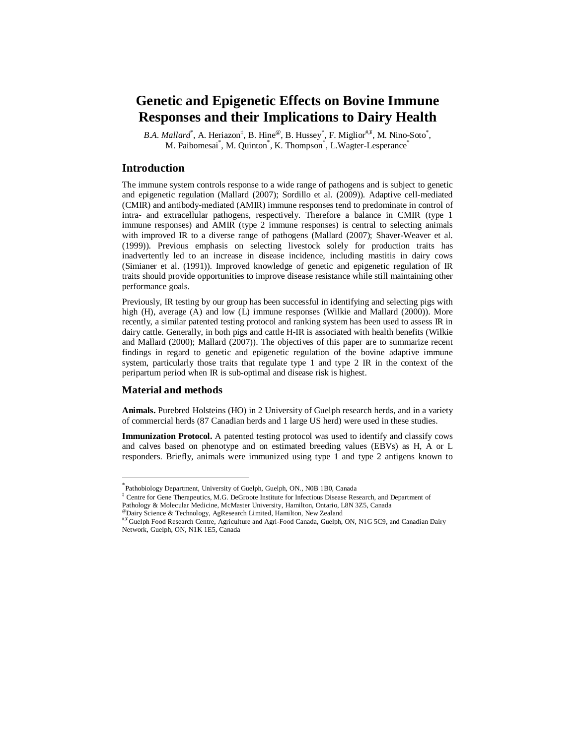# **Genetic and Epigenetic Effects on Bovine Immune Responses and their Implications to Dairy Health**

B.A. Mallard<sup>\*</sup>, A. Heriazon<sup>‡</sup>, B. Hine<sup>@</sup>, B. Hussey<sup>\*</sup>, F. Miglior<sup>#,¥</sup>, M. Nino-Soto<sup>\*</sup>, M. Paibomesai\*, M. Quinton\*, K. Thompson\*, L. Wagter-Lesperance\*

## **Introduction**

The immune system controls response to a wide range of pathogens and is subject to genetic and epigenetic regulation (Mallard (2007); Sordillo et al. (2009)). Adaptive cell-mediated (CMIR) and antibody-mediated (AMIR) immune responses tend to predominate in control of intra- and extracellular pathogens, respectively. Therefore a balance in CMIR (type 1 immune responses) and AMIR (type 2 immune responses) is central to selecting animals with improved IR to a diverse range of pathogens (Mallard (2007); Shaver-Weaver et al. (1999)). Previous emphasis on selecting livestock solely for production traits has inadvertently led to an increase in disease incidence, including mastitis in dairy cows (Simianer et al. (1991)). Improved knowledge of genetic and epigenetic regulation of IR traits should provide opportunities to improve disease resistance while still maintaining other performance goals.

Previously, IR testing by our group has been successful in identifying and selecting pigs with high (H), average (A) and low (L) immune responses (Wilkie and Mallard (2000)). More recently, a similar patented testing protocol and ranking system has been used to assess IR in dairy cattle. Generally, in both pigs and cattle H-IR is associated with health benefits (Wilkie and Mallard (2000); Mallard (2007)). The objectives of this paper are to summarize recent findings in regard to genetic and epigenetic regulation of the bovine adaptive immune system, particularly those traits that regulate type 1 and type 2 IR in the context of the peripartum period when IR is sub-optimal and disease risk is highest.

#### **Material and methods**

 $\overline{a}$ 

**Animals.** Purebred Holsteins (HO) in 2 University of Guelph research herds, and in a variety of commercial herds (87 Canadian herds and 1 large US herd) were used in these studies.

**Immunization Protocol.** A patented testing protocol was used to identify and classify cows and calves based on phenotype and on estimated breeding values (EBVs) as H, A or L responders. Briefly, animals were immunized using type 1 and type 2 antigens known to

<sup>\*</sup> Pathobiology Department, University of Guelph, Guelph, ON., N0B 1B0, Canada

<sup>‡</sup> Centre for Gene Therapeutics, M.G. DeGroote Institute for Infectious Disease Research, and Department of

Pathology & Molecular Medicine, McMaster University, Hamilton, Ontario, L8N 3Z5, Canada

<sup>@</sup>Dairy Science & Technology, AgResearch Limited, Hamilton, New Zealand

<sup>#,¥</sup> Guelph Food Research Centre, Agriculture and Agri-Food Canada, Guelph, ON, N1G 5C9, and Canadian Dairy Network, Guelph, ON, N1K 1E5, Canada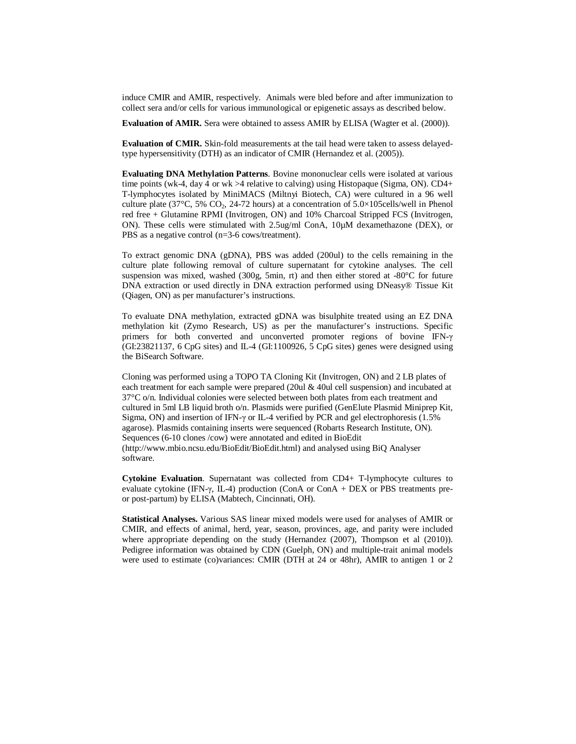induce CMIR and AMIR, respectively. Animals were bled before and after immunization to collect sera and/or cells for various immunological or epigenetic assays as described below.

**Evaluation of AMIR.** Sera were obtained to assess AMIR by ELISA (Wagter et al. (2000)).

**Evaluation of CMIR.** Skin-fold measurements at the tail head were taken to assess delayedtype hypersensitivity (DTH) as an indicator of CMIR (Hernandez et al. (2005)).

**Evaluating DNA Methylation Patterns**. Bovine mononuclear cells were isolated at various time points (wk-4, day 4 or wk >4 relative to calving) using Histopaque (Sigma, ON). CD4+ T-lymphocytes isolated by MiniMACS (Miltnyi Biotech, CA) were cultured in a 96 well culture plate (37°C, 5% CO<sub>2</sub>, 24-72 hours) at a concentration of  $5.0 \times 105$ cells/well in Phenol red free + Glutamine RPMI (Invitrogen, ON) and 10% Charcoal Stripped FCS (Invitrogen, ON). These cells were stimulated with 2.5ug/ml ConA, 10µM dexamethazone (DEX), or PBS as a negative control (n=3-6 cows/treatment).

To extract genomic DNA (gDNA), PBS was added (200ul) to the cells remaining in the culture plate following removal of culture supernatant for cytokine analyses. The cell suspension was mixed, washed  $(300g, 5min, rt)$  and then either stored at  $-80^{\circ}$ C for future DNA extraction or used directly in DNA extraction performed using DNeasy® Tissue Kit (Qiagen, ON) as per manufacturer's instructions.

To evaluate DNA methylation, extracted gDNA was bisulphite treated using an EZ DNA methylation kit (Zymo Research, US) as per the manufacturer's instructions. Specific primers for both converted and unconverted promoter regions of bovine IFN-γ (GI:23821137, 6 CpG sites) and IL-4 (GI:1100926, 5 CpG sites) genes were designed using the BiSearch Software.

Cloning was performed using a TOPO TA Cloning Kit (Invitrogen, ON) and 2 LB plates of each treatment for each sample were prepared (20ul & 40ul cell suspension) and incubated at 37°C o/n. Individual colonies were selected between both plates from each treatment and cultured in 5ml LB liquid broth o/n. Plasmids were purified (GenElute Plasmid Miniprep Kit, Sigma, ON) and insertion of IFN-γ or IL-4 verified by PCR and gel electrophoresis (1.5% agarose). Plasmids containing inserts were sequenced (Robarts Research Institute, ON). Sequences (6-10 clones /cow) were annotated and edited in BioEdit (http://www.mbio.ncsu.edu/BioEdit/BioEdit.html) and analysed using BiQ Analyser software.

**Cytokine Evaluation**. Supernatant was collected from CD4+ T-lymphocyte cultures to evaluate cytokine (IFN-γ, IL-4) production (ConA or ConA + DEX or PBS treatments preor post-partum) by ELISA (Mabtech, Cincinnati, OH).

**Statistical Analyses.** Various SAS linear mixed models were used for analyses of AMIR or CMIR, and effects of animal, herd, year, season, provinces, age, and parity were included where appropriate depending on the study (Hernandez (2007), Thompson et al (2010)). Pedigree information was obtained by CDN (Guelph, ON) and multiple-trait animal models were used to estimate (co)variances: CMIR (DTH at 24 or 48hr), AMIR to antigen 1 or 2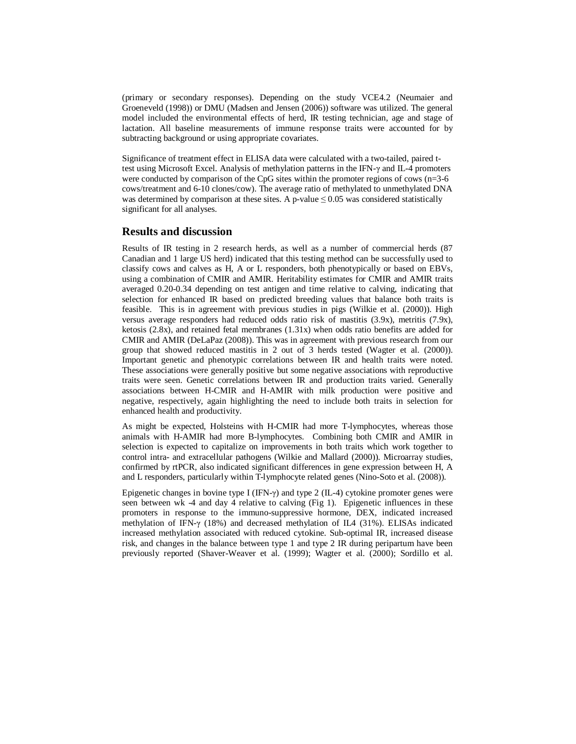(primary or secondary responses). Depending on the study VCE4.2 (Neumaier and Groeneveld (1998)) or DMU (Madsen and Jensen (2006)) software was utilized. The general model included the environmental effects of herd, IR testing technician, age and stage of lactation. All baseline measurements of immune response traits were accounted for by subtracting background or using appropriate covariates.

Significance of treatment effect in ELISA data were calculated with a two-tailed, paired ttest using Microsoft Excel. Analysis of methylation patterns in the IFN-γ and IL-4 promoters were conducted by comparison of the CpG sites within the promoter regions of cows  $(n=3-6)$ cows/treatment and 6-10 clones/cow). The average ratio of methylated to unmethylated DNA was determined by comparison at these sites. A p-value  $\leq 0.05$  was considered statistically significant for all analyses.

## **Results and discussion**

Results of IR testing in 2 research herds, as well as a number of commercial herds (87 Canadian and 1 large US herd) indicated that this testing method can be successfully used to classify cows and calves as H, A or L responders, both phenotypically or based on EBVs, using a combination of CMIR and AMIR. Heritability estimates for CMIR and AMIR traits averaged 0.20-0.34 depending on test antigen and time relative to calving, indicating that selection for enhanced IR based on predicted breeding values that balance both traits is feasible. This is in agreement with previous studies in pigs (Wilkie et al. (2000)). High versus average responders had reduced odds ratio risk of mastitis (3.9x), metritis (7.9x), ketosis (2.8x), and retained fetal membranes (1.31x) when odds ratio benefits are added for CMIR and AMIR (DeLaPaz (2008)). This was in agreement with previous research from our group that showed reduced mastitis in 2 out of 3 herds tested (Wagter et al. (2000)). Important genetic and phenotypic correlations between IR and health traits were noted. These associations were generally positive but some negative associations with reproductive traits were seen. Genetic correlations between IR and production traits varied. Generally associations between H-CMIR and H-AMIR with milk production were positive and negative, respectively, again highlighting the need to include both traits in selection for enhanced health and productivity.

As might be expected, Holsteins with H-CMIR had more T-lymphocytes, whereas those animals with H-AMIR had more B-lymphocytes. Combining both CMIR and AMIR in selection is expected to capitalize on improvements in both traits which work together to control intra- and extracellular pathogens (Wilkie and Mallard (2000)). Microarray studies, confirmed by rtPCR, also indicated significant differences in gene expression between H, A and L responders, particularly within T-lymphocyte related genes (Nino-Soto et al. (2008)).

Epigenetic changes in bovine type I (IFN-γ) and type 2 (IL-4) cytokine promoter genes were seen between wk -4 and day 4 relative to calving (Fig 1). Epigenetic influences in these promoters in response to the immuno-suppressive hormone, DEX, indicated increased methylation of IFN-γ (18%) and decreased methylation of IL4 (31%). ELISAs indicated increased methylation associated with reduced cytokine. Sub-optimal IR, increased disease risk, and changes in the balance between type 1 and type 2 IR during peripartum have been previously reported (Shaver-Weaver et al. (1999); Wagter et al. (2000); Sordillo et al.